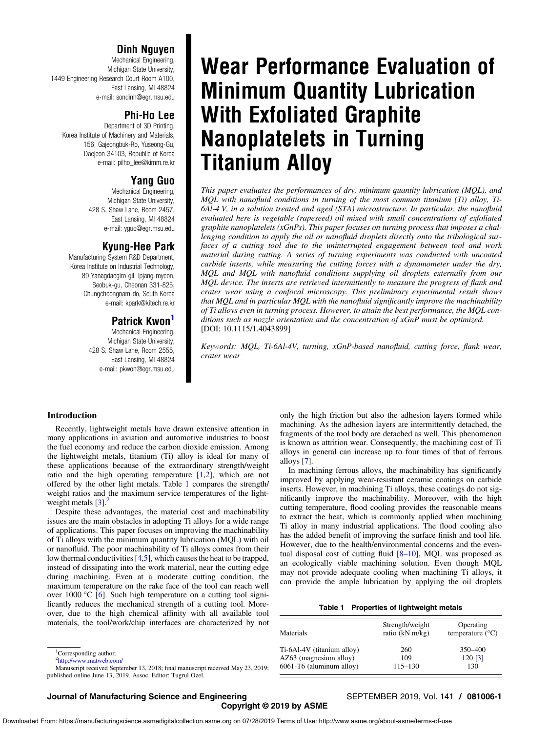# Dinh Nguyen

Mechanical Engineering, Michigan State University, 1449 Engineering Research Court Room A100, East Lansing, MI 48824 e-mail: [sondinh@egr.msu.edu](mailto:sondinh@egr.msu.edu)

# Phi-Ho Lee

Department of 3D Printing, Korea Institute of Machinery and Materials, 156, Gajeongbuk-Ro, Yuseong-Gu, Daejeon 34103, Republic of Korea e-mail: [pilho\\_lee@kimm.re.kr](mailto:pilho_lee@kimm.re.kr)

# Yang Guo

Mechanical Engineering, Michigan State University, 428 S. Shaw Lane, Room 2457, East Lansing, MI 48824 e-mail: [yguo@egr.msu.edu](mailto:yguo@egr.msu.edu)

# Kyung-Hee Park

Manufacturing System R&D Department, Korea Institute on Industrial Technology, 89 Yanagdaegiro-gil, Ipjang-myeon, Seobuk-gu, Cheonan 331-825, Chungcheongnam-do, South Korea e-mail: [kpark@kitech.re.kr](mailto:kpark@kitech.re.kr)

# Patrick Kwon<sup>1</sup>

Mechanical Engineering, Michigan State University, 428 S. Shaw Lane, Room 2555, East Lansing, MI 48824 e-mail: [pkwon@egr.msu.edu](mailto:pkwon@egr.msu.edu)

# Wear Performance Evaluation of Minimum Quantity Lubrication With Exfoliated Graphite Nanoplatelets in Turning Titanium Alloy

This paper evaluates the performances of dry, minimum quantity lubrication (MQL), and MQL with nanofluid conditions in turning of the most common titanium (Ti) alloy, Ti-6Al-4 V, in a solution treated and aged (STA) microstructure. In particular, the nanofluid evaluated here is vegetable (rapeseed) oil mixed with small concentrations of exfoliated graphite nanoplatelets (xGnPs). This paper focuses on turning process that imposes a challenging condition to apply the oil or nanofluid droplets directly onto the tribological surfaces of a cutting tool due to the uninterrupted engagement between tool and work material during cutting. A series of turning experiments was conducted with uncoated carbide inserts, while measuring the cutting forces with a dynamometer under the dry, MQL and MQL with nanofluid conditions supplying oil droplets externally from our MQL device. The inserts are retrieved intermittently to measure the progress of flank and crater wear using a confocal microscopy. This preliminary experimental result shows that  $MQL$  and in particular  $MQL$  with the nanofluid significantly improve the machinability of Ti alloys even in turning process. However, to attain the best performance, the MQL conditions such as nozzle orientation and the concentration of xGnP must be optimized. [DOI: 10.1115/1.4043899]

Keywords: MQL, Ti-6Al-4V, turning, xGnP-based nanofluid, cutting force, flank wear, crater wear

# Introduction

Recently, lightweight metals have drawn extensive attention in many applications in aviation and automotive industries to boost the fuel economy and reduce the carbon dioxide emission. Among the lightweight metals, titanium (Ti) alloy is ideal for many of these applications because of the extraordinary strength/weight ratio and the high operating temperature [[1,2\]](#page-7-0), which are not offered by the other light metals. Table 1 compares the strength/ weight ratios and the maximum service temperatures of the lightweight metals  $\left[3\right]$  $\left[3\right]$  $\left[3\right]$ .

Despite these advantages, the material cost and machinability issues are the main obstacles in adopting Ti alloys for a wide range of applications. This paper focuses on improving the machinability of Ti alloys with the minimum quantity lubrication (MQL) with oil or nanofluid. The poor machinability of Ti alloys comes from their low thermal conductivities [[4](#page-7-0),[5](#page-7-0)], which causes the heat to be trapped, instead of dissipating into the work material, near the cutting edge during machining. Even at a moderate cutting condition, the maximum temperature on the rake face of the tool can reach well over 1000 °C [\[6\]](#page-7-0). Such high temperature on a cutting tool significantly reduces the mechanical strength of a cutting tool. Moreover, due to the high chemical affinity with all available tool materials, the tool/work/chip interfaces are characterized by not

Manuscript received September 13, 2018; final manuscript received May 23, 2019; published online June 13, 2019. Assoc. Editor: Tugrul Ozel.

only the high friction but also the adhesion layers formed while machining. As the adhesion layers are intermittently detached, the fragments of the tool body are detached as well. This phenomenon is known as attrition wear. Consequently, the machining cost of Ti alloys in general can increase up to four times of that of ferrous alloys [\[7\]](#page-7-0).

In machining ferrous alloys, the machinability has significantly improved by applying wear-resistant ceramic coatings on carbide inserts. However, in machining Ti alloys, these coatings do not significantly improve the machinability. Moreover, with the high cutting temperature, flood cooling provides the reasonable means to extract the heat, which is commonly applied when machining Ti alloy in many industrial applications. The flood cooling also has the added benefit of improving the surface finish and tool life. However, due to the health/environmental concerns and the eventual disposal cost of cutting fluid [8–10], MQL was proposed as an ecologically viable machining solution. Even though MQL may not provide adequate cooling when machining Ti alloys, it can provide the ample lubrication by applying the oil droplets

| Table 1 |  | Properties of lightweight metals |  |
|---------|--|----------------------------------|--|
|---------|--|----------------------------------|--|

| Materials                  | Strength/weight<br>ratio (kN m/kg) | Operating<br>temperature $(^{\circ}C)$ |
|----------------------------|------------------------------------|----------------------------------------|
| Ti-6Al-4V (titanium alloy) | 260                                | 350-400                                |
| AZ63 (magnesium alloy)     | 109                                | 120 [3]                                |
| 6061-T6 (aluminum alloy)   | $115 - 130$                        | 130                                    |

# Journal of Manufacturing Science and Engineering SEPTEMBER 2019, Vol. 141 / 081006-1

Copyright © 2019 by ASME

<sup>&</sup>lt;sup>1</sup>Corresponding author.

<sup>2</sup> <http://www.matweb.com/>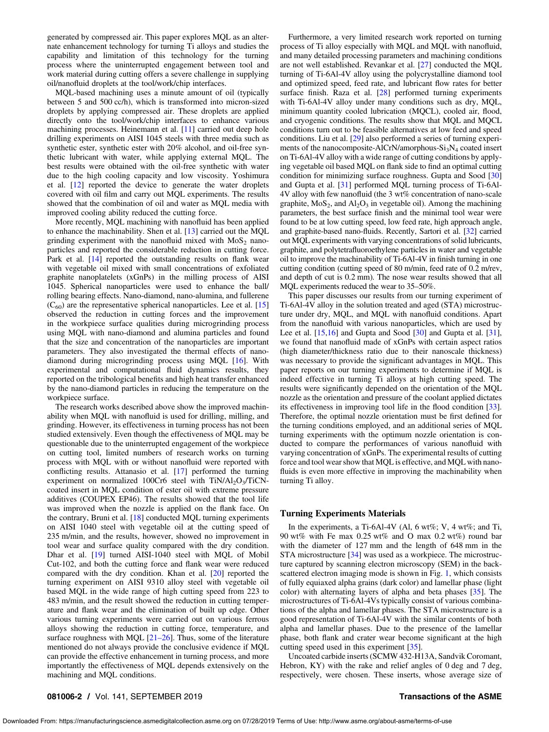generated by compressed air. This paper explores MQL as an alternate enhancement technology for turning Ti alloys and studies the capability and limitation of this technology for the turning process where the uninterrupted engagement between tool and work material during cutting offers a severe challenge in supplying oil/nanofluid droplets at the tool/work/chip interfaces.

MQL-based machining uses a minute amount of oil (typically between 5 and 500 cc/h), which is transformed into micron-sized droplets by applying compressed air. These droplets are applied directly onto the tool/work/chip interfaces to enhance various machining processes. Heinemann et al. [[11\]](#page-7-0) carried out deep hole drilling experiments on AISI 1045 steels with three media such as synthetic ester, synthetic ester with 20% alcohol, and oil-free synthetic lubricant with water, while applying external MQL. The best results were obtained with the oil-free synthetic with water due to the high cooling capacity and low viscosity. Yoshimura et al. [[12\]](#page-7-0) reported the device to generate the water droplets covered with oil film and carry out MQL experiments. The results showed that the combination of oil and water as MQL media with improved cooling ability reduced the cutting force.

More recently, MQL machining with nanofluid has been applied to enhance the machinability. Shen et al. [\[13](#page-7-0)] carried out the MQL grinding experiment with the nanofluid mixed with  $M_0S_2$  nanoparticles and reported the considerable reduction in cutting force. Park et al. [[14\]](#page-7-0) reported the outstanding results on flank wear with vegetable oil mixed with small concentrations of exfoliated graphite nanoplatelets (xGnPs) in the milling process of AISI 1045. Spherical nanoparticles were used to enhance the ball/ rolling bearing effects. Nano-diamond, nano-alumina, and fullerene  $(C_{60})$  are the representative spherical nanoparticles. Lee et al. [\[15](#page-7-0)] observed the reduction in cutting forces and the improvement in the workpiece surface qualities during microgrinding process using MQL with nano-diamond and alumina particles and found that the size and concentration of the nanoparticles are important parameters. They also investigated the thermal effects of nanodiamond during microgrinding process using MQL [\[16](#page-7-0)]. With experimental and computational fluid dynamics results, they reported on the tribological benefits and high heat transfer enhanced by the nano-diamond particles in reducing the temperature on the workpiece surface.

The research works described above show the improved machinability when MQL with nanofluid is used for drilling, milling, and grinding. However, its effectiveness in turning process has not been studied extensively. Even though the effectiveness of MQL may be questionable due to the uninterrupted engagement of the workpiece on cutting tool, limited numbers of research works on turning process with MQL with or without nanofluid were reported with conflicting results. Attanasio et al. [[17\]](#page-7-0) performed the turning experiment on normalized 100Cr6 steel with  $TiN/Al_2O<sub>3</sub>/TiCN$ coated insert in MQL condition of ester oil with extreme pressure additives (COUPEX EP46). The results showed that the tool life was improved when the nozzle is applied on the flank face. On the contrary, Bruni et al. [[18\]](#page-7-0) conducted MQL turning experiments on AISI 1040 steel with vegetable oil at the cutting speed of 235 m/min, and the results, however, showed no improvement in tool wear and surface quality compared with the dry condition. Dhar et al. [[19\]](#page-7-0) turned AISI-1040 steel with MQL of Mobil Cut-102, and both the cutting force and flank wear were reduced compared with the dry condition. Khan et al. [[20](#page-7-0)] reported the turning experiment on AISI 9310 alloy steel with vegetable oil based MQL in the wide range of high cutting speed from 223 to 483 m/min, and the result showed the reduction in cutting temperature and flank wear and the elimination of built up edge. Other various turning experiments were carried out on various ferrous alloys showing the reduction in cutting force, temperature, and surface roughness with MQL  $[21–26]$ . Thus, some of the literature mentioned do not always provide the conclusive evidence if MQL can provide the effective enhancement in turning process, and more importantly the effectiveness of MQL depends extensively on the machining and MQL conditions.

Furthermore, a very limited research work reported on turning process of Ti alloy especially with MQL and MQL with nanofluid, and many detailed processing parameters and machining conditions are not well established. Revankar et al. [[27\]](#page-7-0) conducted the MQL turning of Ti-6Al-4V alloy using the polycrystalline diamond tool and optimized speed, feed rate, and lubricant flow rates for better surface finish. Raza et al. [\[28](#page-7-0)] performed turning experiments with Ti-6Al-4V alloy under many conditions such as dry, MQL, minimum quantity cooled lubrication (MQCL), cooled air, flood, and cryogenic conditions. The results show that MQL and MQCL conditions turn out to be feasible alternatives at low feed and speed conditions. Liu et al. [[29\]](#page-7-0) also performed a series of turning experiments of the nanocomposite-AlCrN/amorphous- $Si<sub>3</sub>N<sub>4</sub>$  coated insert on Ti-6Al-4V alloy with a wide range of cutting conditions by applying vegetable oil based MQL on flank side to find an optimal cutting condition for minimizing surface roughness. Gupta and Sood [\[30](#page-7-0)] and Gupta et al. [\[31](#page-7-0)] performed MQL turning process of Ti-6Al-4V alloy with few nanofluid (the 3 wt% concentration of nano-scale graphite,  $MoS<sub>2</sub>$ , and  $Al<sub>2</sub>O<sub>3</sub>$  in vegetable oil). Among the machining parameters, the best surface finish and the minimal tool wear were found to be at low cutting speed, low feed rate, high approach angle, and graphite-based nano-fluids. Recently, Sartori et al. [\[32](#page-7-0)] carried out MQL experiments with varying concentrations of solid lubricants, graphite, and polytetrafluoroethylene particles in water and vegetable oil to improve the machinability of Ti-6Al-4V in finish turning in one cutting condition (cutting speed of 80 m/min, feed rate of 0.2 m/rev, and depth of cut is 0.2 mm). The nose wear results showed that all MQL experiments reduced the wear to 35–50%.

This paper discusses our results from our turning experiment of Ti-6Al-4V alloy in the solution treated and aged (STA) microstructure under dry, MQL, and MQL with nanofluid conditions. Apart from the nanofluid with various nanoparticles, which are used by Lee et al. [[15,16](#page-7-0)] and Gupta and Sood [[30\]](#page-7-0) and Gupta et al. [[31\]](#page-7-0), we found that nanofluid made of xGnPs with certain aspect ratios (high diameter/thickness ratio due to their nanoscale thickness) was necessary to provide the significant advantages in MQL. This paper reports on our turning experiments to determine if MQL is indeed effective in turning Ti alloys at high cutting speed. The results were significantly depended on the orientation of the MQL nozzle as the orientation and pressure of the coolant applied dictates its effectiveness in improving tool life in the flood condition [[33\]](#page-7-0). Therefore, the optimal nozzle orientation must be first defined for the turning conditions employed, and an additional series of MQL turning experiments with the optimum nozzle orientation is conducted to compare the performances of various nanofluid with varying concentration of xGnPs. The experimental results of cutting force and tool wear show that MQL is effective, and MQL with nanofluids is even more effective in improving the machinability when turning Ti alloy.

# Turning Experiments Materials

In the experiments, a Ti-6Al-4V (Al, 6 wt%; V, 4 wt%; and Ti, 90 wt% with Fe max 0.25 wt% and O max 0.2 wt%) round bar with the diameter of 127 mm and the length of 648 mm in the STA microstructure [\[34](#page-7-0)] was used as a workpiece. The microstructure captured by scanning electron microscopy (SEM) in the backscattered electron imaging mode is shown in Fig. [1,](#page-2-0) which consists of fully equiaxed alpha grains (dark color) and lamellar phase (light color) with alternating layers of alpha and beta phases [\[35](#page-7-0)]. The microstructures of Ti-6Al-4Vs typically consist of various combinations of the alpha and lamellar phases. The STA microstructure is a good representation of Ti-6Al-4V with the similar contents of both alpha and lamellar phases. Due to the presence of the lamellar phase, both flank and crater wear become significant at the high cutting speed used in this experiment [\[35](#page-7-0)].

Uncoated carbide inserts (SCMW 432-H13A, Sandvik Coromant, Hebron, KY) with the rake and relief angles of 0 deg and 7 deg, respectively, were chosen. These inserts, whose average size of

# 081006-2 / Vol. 141, SEPTEMBER 2019 **Transactions of the ASME**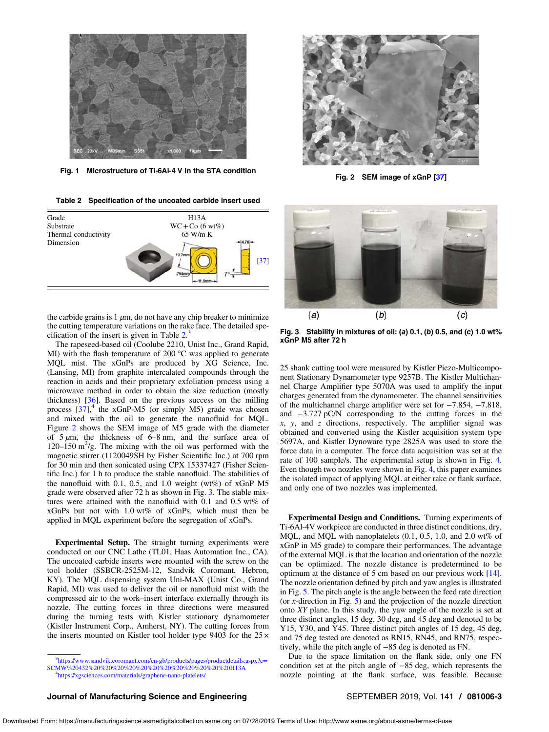<span id="page-2-0"></span>

Fig. 1 Microstructure of Ti-6Al-4 V in the STA condition<br>Fig. 2 SEM image of xGnP [[37\]](#page-7-0)

Table 2 Specification of the uncoated carbide insert used



the carbide grains is  $1 \mu m$ , do not have any chip breaker to minimize the cutting temperature variations on the rake face. The detailed specification of the insert is given in Table  $2<sup>3</sup>$ .

The rapeseed-based oil (Coolube 2210, Unist Inc., Grand Rapid, MI) with the flash temperature of 200 °C was applied to generate MQL mist. The xGnPs are produced by XG Science, Inc. (Lansing, MI) from graphite intercalated compounds through the reaction in acids and their proprietary exfoliation process using a microwave method in order to obtain the size reduction (mostly thickness)  $[36]$  $[36]$ . Based on the previous success on the milling process  $[37]$  $[37]$ ,<sup>4</sup> the xGnP-M5 (or simply M5) grade was chosen and mixed with the oil to generate the nanofluid for MQL. Figure 2 shows the SEM image of M5 grade with the diameter of  $5 \mu m$ , the thickness of 6–8 nm, and the surface area of 120–150  $\text{m}^2/\text{g}$ . The mixing with the oil was performed with the magnetic stirrer (1120049SH by Fisher Scientific Inc.) at 700 rpm for 30 min and then sonicated using CPX 15337427 (Fisher Scientific Inc.) for 1 h to produce the stable nanofluid. The stabilities of the nanofluid with 0.1, 0.5, and 1.0 weight (wt%) of xGnP M5 grade were observed after 72 h as shown in Fig. 3. The stable mixtures were attained with the nanofluid with 0.1 and 0.5 wt% of xGnPs but not with 1.0 wt% of xGnPs, which must then be applied in MQL experiment before the segregation of xGnPs.

Experimental Setup. The straight turning experiments were conducted on our CNC Lathe (TL01, Haas Automation Inc., CA). The uncoated carbide inserts were mounted with the screw on the tool holder (SSBCR-2525M-12, Sandvik Coromant, Hebron, KY). The MQL dispensing system Uni-MAX (Unist Co., Grand Rapid, MI) was used to deliver the oil or nanofluid mist with the compressed air to the work–insert interface externally through its nozzle. The cutting forces in three directions were measured during the turning tests with Kistler stationary dynamometer (Kistler Instrument Corp., Amherst, NY). The cutting forces from the inserts mounted on Kistler tool holder type 9403 for the 25 ×





Fig. 3 Stability in mixtures of oil: (a) 0.1, (b) 0.5, and (c) 1.0 wt% xGnP M5 after 72 h

25 shank cutting tool were measured by Kistler Piezo-Multicomponent Stationary Dynamometer type 9257B. The Kistler Multichannel Charge Amplifier type 5070A was used to amplify the input charges generated from the dynamometer. The channel sensitivities of the multichannel charge amplifier were set for −7.854, −7.818, and −3.727 pC/N corresponding to the cutting forces in the  $x$ ,  $y$ , and  $z$  directions, respectively. The amplifier signal was obtained and converted using the Kistler acquisition system type 5697A, and Kistler Dynoware type 2825A was used to store the force data in a computer. The force data acquisition was set at the rate of 100 sample/s. The experimental setup is shown in Fig. [4.](#page-3-0) Even though two nozzles were shown in Fig. [4,](#page-3-0) this paper examines the isolated impact of applying MQL at either rake or flank surface, and only one of two nozzles was implemented.

Experimental Design and Conditions. Turning experiments of Ti-6Al-4V workpiece are conducted in three distinct conditions, dry, MQL, and MQL with nanoplatelets (0.1, 0.5, 1.0, and 2.0 wt% of xGnP in M5 grade) to compare their performances. The advantage of the external MQL is that the location and orientation of the nozzle can be optimized. The nozzle distance is predetermined to be optimum at the distance of 5 cm based on our previous work [[14\]](#page-7-0). The nozzle orientation defined by pitch and yaw angles is illustrated in Fig. [5](#page-3-0). The pitch angle is the angle between the feed rate direction (or  $x$ -direction in Fig.  $5$ ) and the projection of the nozzle direction onto XY plane. In this study, the yaw angle of the nozzle is set at three distinct angles, 15 deg, 30 deg, and 45 deg and denoted to be Y15, Y30, and Y45. Three distinct pitch angles of 15 deg, 45 deg, and 75 deg tested are denoted as RN15, RN45, and RN75, respectively, while the pitch angle of −85 deg is denoted as FN.

Due to the space limitation on the flank side, only one FN condition set at the pitch angle of −85 deg, which represents the nozzle pointing at the flank surface, was feasible. Because

# Journal of Manufacturing Science and Engineering Subsection SEPTEMBER 2019, Vol. 141 / 081006-3

<sup>&</sup>lt;sup>3</sup>[https://www.sandvik.coromant.com/en-gb/products/pages/productdetails.aspx?c](https://www.sandvik.coromant.com/en-gb/products/pages/productdetails.aspx?c=SCMW%20432%20%20%20%20%20%20%20%20%20%20%20%20H13A)= [SCMW%20432%20%20%20%20%20%20%20%20%20%20%20%20H13A](https://www.sandvik.coromant.com/en-gb/products/pages/productdetails.aspx?c=SCMW%20432%20%20%20%20%20%20%20%20%20%20%20%20H13A) <sup>4</sup>

<https://xgsciences.com/materials/graphene-nano-platelets/>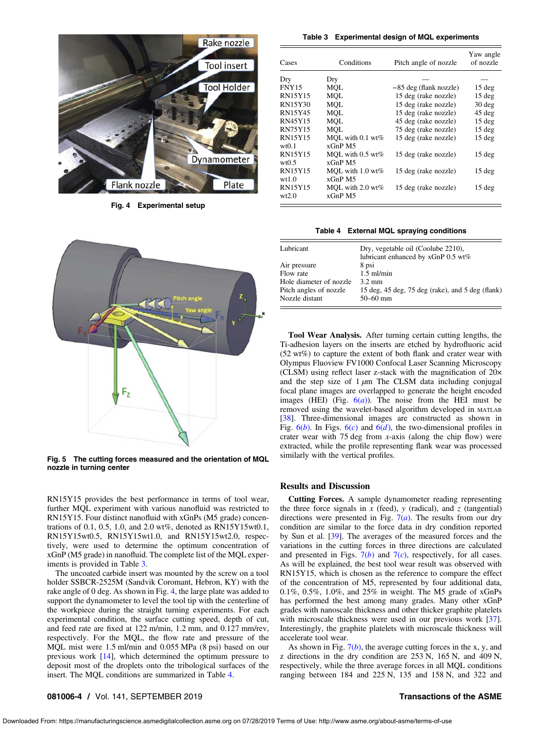<span id="page-3-0"></span>

Fig. 4 Experimental setup



Fig. 5 The cutting forces measured and the orientation of MQL nozzle in turning center

RN15Y15 provides the best performance in terms of tool wear, further MQL experiment with various nanofluid was restricted to RN15Y15. Four distinct nanofluid with xGnPs (M5 grade) concentrations of 0.1, 0.5, 1.0, and 2.0 wt%, denoted as RN15Y15wt0.1, RN15Y15wt0.5, RN15Y15wt1.0, and RN15Y15wt2.0, respectively, were used to determine the optimum concentration of xGnP (M5 grade) in nanofluid. The complete list of the MQL experiments is provided in Table 3.

The uncoated carbide insert was mounted by the screw on a tool holder SSBCR-2525M (Sandvik Coromant, Hebron, KY) with the rake angle of 0 deg. As shown in Fig. 4, the large plate was added to support the dynamometer to level the tool tip with the centerline of the workpiece during the straight turning experiments. For each experimental condition, the surface cutting speed, depth of cut, and feed rate are fixed at 122 m/min, 1.2 mm, and 0.127 mm/rev, respectively. For the MQL, the flow rate and pressure of the MQL mist were 1.5 ml/min and 0.055 MPa (8 psi) based on our previous work [\[14](#page-7-0)], which determined the optimum pressure to deposit most of the droplets onto the tribological surfaces of the insert. The MQL conditions are summarized in Table 4.

Table 3 Experimental design of MQL experiments

| Cases                   | Conditions                      | Pitch angle of nozzle    | Yaw angle<br>of nozzle |
|-------------------------|---------------------------------|--------------------------|------------------------|
| Dry                     | Dry                             |                          |                        |
| <b>FNY15</b>            | MOL                             | $-85$ deg (flank nozzle) | $15$ deg               |
| <b>RN15Y15</b>          | MOL                             | 15 deg (rake nozzle)     | $15$ deg               |
| <b>RN15Y30</b>          | MOL                             | 15 deg (rake nozzle)     | $30$ deg               |
| RN15Y45                 | MOL                             | 15 deg (rake nozzle)     | 45 deg                 |
| RN45Y15                 | MOL                             | 45 deg (rake nozzle)     | $15$ deg               |
| <b>RN75Y15</b>          | MOL                             | 75 deg (rake nozzle)     | $15$ deg               |
| <b>RN15Y15</b><br>wt0.1 | MOL with $0.1$ wt%<br>$xGnP$ M5 | 15 deg (rake nozzle)     | 15 deg                 |
| <b>RN15Y15</b><br>wt0.5 | MOL with $0.5$ wt%<br>$xGnP$ M5 | 15 deg (rake nozzle)     | $15$ deg               |
| <b>RN15Y15</b><br>wt1.0 | MOL with $1.0$ wt%<br>$xGnP$ M5 | 15 deg (rake nozzle)     | $15$ deg               |
| <b>RN15Y15</b><br>wt2.0 | MOL with $2.0$ wt%<br>$xGnP$ M5 | 15 deg (rake nozzle)     | $15$ deg               |

## Table 4 External MQL spraying conditions

| Lubricant               | Dry, vegetable oil (Coolube 2210),<br>lubricant enhanced by xGnP 0.5 wt% |
|-------------------------|--------------------------------------------------------------------------|
| Air pressure            | 8 psi                                                                    |
| Flow rate               | $1.5$ ml/min                                                             |
| Hole diameter of nozzle | $3.2 \text{ mm}$                                                         |
| Pitch angles of nozzle  | 15 deg, $45$ deg, $75$ deg (rake), and $5$ deg (flank)                   |
| Nozzle distant          | $50 - 60$ mm                                                             |

Tool Wear Analysis. After turning certain cutting lengths, the Ti-adhesion layers on the inserts are etched by hydrofluoric acid (52 wt%) to capture the extent of both flank and crater wear with Olympus Fluoview FV1000 Confocal Laser Scanning Microscopy (CLSM) using reflect laser z-stack with the magnification of 20× and the step size of  $1 \mu m$  The CLSM data including conjugal focal plane images are overlapped to generate the height encoded images (HEI) (Fig.  $6(a)$  $6(a)$ ). The noise from the HEI must be removed using the wavelet-based algorithm developed in MATLAB [[38\]](#page-7-0). Three-dimensional images are constructed as shown in Fig.  $6(b)$  $6(b)$ . In Figs.  $6(c)$  and  $6(d)$ , the two-dimensional profiles in crater wear with 75 deg from  $x$ -axis (along the chip flow) were extracted, while the profile representing flank wear was processed similarly with the vertical profiles.

# Results and Discussion

Cutting Forces. A sample dynamometer reading representing the three force signals in  $x$  (feed),  $y$  (radical), and  $z$  (tangential) directions were presented in Fig.  $7(a)$  $7(a)$ . The results from our dry condition are similar to the force data in dry condition reported by Sun et al. [[39\]](#page-7-0). The averages of the measured forces and the variations in the cutting forces in three directions are calculated and presented in Figs.  $7(b)$  $7(b)$  and  $7(c)$ , respectively, for all cases. As will be explained, the best tool wear result was observed with RN15Y15, which is chosen as the reference to compare the effect of the concentration of M5, represented by four additional data, 0.1%, 0.5%, 1.0%, and 25% in weight. The M5 grade of xGnPs has performed the best among many grades. Many other xGnP grades with nanoscale thickness and other thicker graphite platelets with microscale thickness were used in our previous work [[37\]](#page-7-0). Interestingly, the graphite platelets with microscale thickness will accelerate tool wear.

As shown in Fig.  $7(b)$  $7(b)$ , the average cutting forces in the x, y, and z directions in the dry condition are 253 N, 165 N, and 409 N, respectively, while the three average forces in all MQL conditions ranging between 184 and 225 N, 135 and 158 N, and 322 and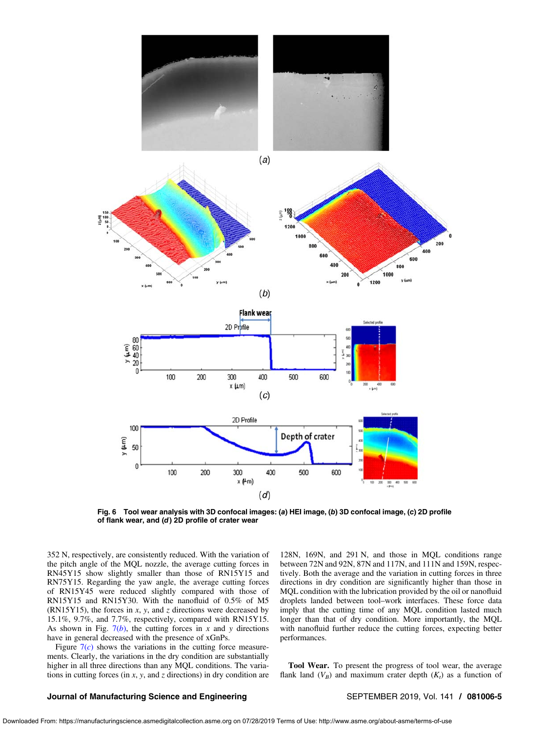<span id="page-4-0"></span>

Fig. 6 Tool wear analysis with 3D confocal images: (a) HEI image, (b) 3D confocal image, (c) 2D profile of flank wear, and (d) 2D profile of crater wear

352 N, respectively, are consistently reduced. With the variation of the pitch angle of the MQL nozzle, the average cutting forces in RN45Y15 show slightly smaller than those of RN15Y15 and RN75Y15. Regarding the yaw angle, the average cutting forces of RN15Y45 were reduced slightly compared with those of RN15Y15 and RN15Y30. With the nanofluid of 0.5% of M5 (RN15Y15), the forces in  $x$ ,  $y$ , and  $z$  directions were decreased by 15.1%, 9.7%, and 7.7%, respectively, compared with RN15Y15. As shown in Fig.  $7(b)$  $7(b)$ , the cutting forces in x and y directions have in general decreased with the presence of xGnPs.

Figure  $7(c)$  $7(c)$  shows the variations in the cutting force measurements. Clearly, the variations in the dry condition are substantially higher in all three directions than any MQL conditions. The variations in cutting forces (in  $x$ ,  $y$ , and  $z$  directions) in dry condition are 128N, 169N, and 291 N, and those in MQL conditions range between 72N and 92N, 87N and 117N, and 111N and 159N, respectively. Both the average and the variation in cutting forces in three directions in dry condition are significantly higher than those in MQL condition with the lubrication provided by the oil or nanofluid droplets landed between tool–work interfaces. These force data imply that the cutting time of any MQL condition lasted much longer than that of dry condition. More importantly, the MQL with nanofluid further reduce the cutting forces, expecting better performances.

Tool Wear. To present the progress of tool wear, the average flank land  $(V_B)$  and maximum crater depth  $(K_t)$  as a function of

# Journal of Manufacturing Science and Engineering Subsection SEPTEMBER 2019, Vol. 141 / 081006-5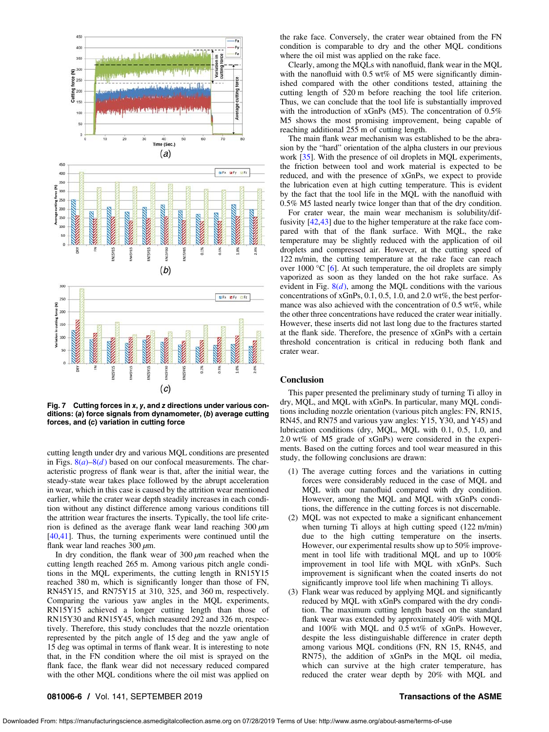<span id="page-5-0"></span>

Fig. 7 Cutting forces in x, y, and z directions under various conditions: (a) force signals from dynamometer, (b) average cutting forces, and (c) variation in cutting force

cutting length under dry and various MQL conditions are presented in Figs.  $8(a) - 8(d)$  $8(a) - 8(d)$  based on our confocal measurements. The characteristic progress of flank wear is that, after the initial wear, the steady-state wear takes place followed by the abrupt acceleration in wear, which in this case is caused by the attrition wear mentioned earlier, while the crater wear depth steadily increases in each condition without any distinct difference among various conditions till the attrition wear fractures the inserts. Typically, the tool life criterion is defined as the average flank wear land reaching  $300 \mu m$ [[40,41](#page-7-0)]. Thus, the turning experiments were continued until the flank wear land reaches  $300 \mu m$ .

In dry condition, the flank wear of  $300 \mu m$  reached when the cutting length reached 265 m. Among various pitch angle conditions in the MQL experiments, the cutting length in RN15Y15 reached 380 m, which is significantly longer than those of FN, RN45Y15, and RN75Y15 at 310, 325, and 360 m, respectively. Comparing the various yaw angles in the MQL experiments, RN15Y15 achieved a longer cutting length than those of RN15Y30 and RN15Y45, which measured 292 and 326 m, respectively. Therefore, this study concludes that the nozzle orientation represented by the pitch angle of 15 deg and the yaw angle of 15 deg was optimal in terms of flank wear. It is interesting to note that, in the FN condition where the oil mist is sprayed on the flank face, the flank wear did not necessary reduced compared with the other MQL conditions where the oil mist was applied on the rake face. Conversely, the crater wear obtained from the FN condition is comparable to dry and the other MQL conditions where the oil mist was applied on the rake face.

Clearly, among the MQLs with nanofluid, flank wear in the MQL with the nanofluid with 0.5 wt% of M5 were significantly diminished compared with the other conditions tested, attaining the cutting length of 520 m before reaching the tool life criterion. Thus, we can conclude that the tool life is substantially improved with the introduction of xGnPs (M5). The concentration of 0.5% M5 shows the most promising improvement, being capable of reaching additional 255 m of cutting length.

The main flank wear mechanism was established to be the abrasion by the "hard" orientation of the alpha clusters in our previous work [[35\]](#page-7-0). With the presence of oil droplets in MQL experiments, the friction between tool and work material is expected to be reduced, and with the presence of xGnPs, we expect to provide the lubrication even at high cutting temperature. This is evident by the fact that the tool life in the MQL with the nanofluid with 0.5% M5 lasted nearly twice longer than that of the dry condition.

For crater wear, the main wear mechanism is solubility/diffusivity [\[42](#page-7-0),[43\]](#page-7-0) due to the higher temperature at the rake face compared with that of the flank surface. With MQL, the rake temperature may be slightly reduced with the application of oil droplets and compressed air. However, at the cutting speed of 122 m/min, the cutting temperature at the rake face can reach over 1000  $\degree$ C [\[6\]](#page-7-0). At such temperature, the oil droplets are simply vaporized as soon as they landed on the hot rake surface. As evident in Fig.  $8(d)$  $8(d)$ , among the MQL conditions with the various concentrations of xGnPs, 0.1, 0.5, 1.0, and 2.0 wt%, the best performance was also achieved with the concentration of 0.5 wt%, while the other three concentrations have reduced the crater wear initially. However, these inserts did not last long due to the fractures started at the flank side. Therefore, the presence of xGnPs with a certain threshold concentration is critical in reducing both flank and crater wear.

# **Conclusion**

This paper presented the preliminary study of turning Ti alloy in dry, MQL, and MQL with xGnPs. In particular, many MQL conditions including nozzle orientation (various pitch angles: FN, RN15, RN45, and RN75 and various yaw angles: Y15, Y30, and Y45) and lubrication conditions (dry, MQL, MQL with 0.1, 0.5, 1.0, and 2.0 wt% of M5 grade of xGnPs) were considered in the experiments. Based on the cutting forces and tool wear measured in this study, the following conclusions are drawn:

- (1) The average cutting forces and the variations in cutting forces were considerably reduced in the case of MQL and MQL with our nanofluid compared with dry condition. However, among the MQL and MQL with xGnPs conditions, the difference in the cutting forces is not discernable.
- (2) MQL was not expected to make a significant enhancement when turning Ti alloys at high cutting speed (122 m/min) due to the high cutting temperature on the inserts. However, our experimental results show up to 50% improvement in tool life with traditional MQL and up to 100% improvement in tool life with MQL with xGnPs. Such improvement is significant when the coated inserts do not significantly improve tool life when machining Ti alloys.
- (3) Flank wear was reduced by applying MQL and significantly reduced by MQL with xGnPs compared with the dry condition. The maximum cutting length based on the standard flank wear was extended by approximately 40% with MQL and 100% with MQL and 0.5 wt% of xGnPs. However, despite the less distinguishable difference in crater depth among various MQL conditions (FN, RN 15, RN45, and RN75), the addition of xGnPs in the MQL oil media, which can survive at the high crater temperature, has reduced the crater wear depth by 20% with MQL and

# 081006-6 / Vol. 141, SEPTEMBER 2019 **Transactions of the ASME**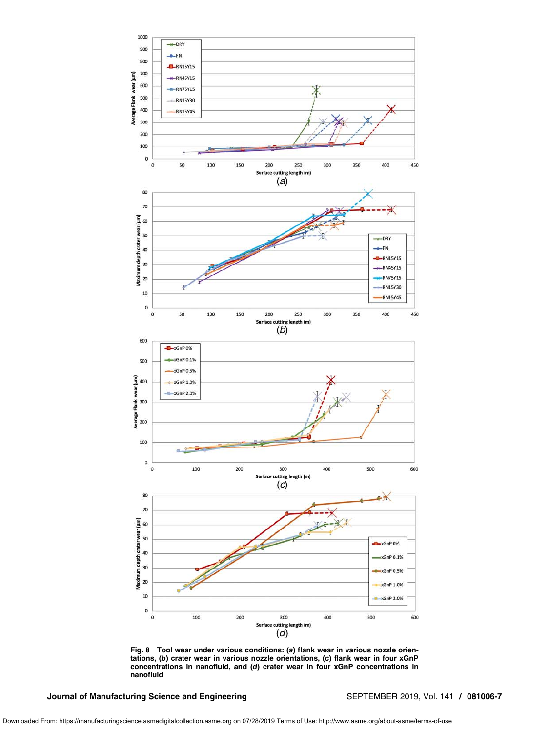<span id="page-6-0"></span>

Fig. 8 Tool wear under various conditions: (a) flank wear in various nozzle orientations, (b) crater wear in various nozzle orientations, (c) flank wear in four xGnP concentrations in nanofluid, and (d) crater wear in four xGnP concentrations in nanofluid

Journal of Manufacturing Science and Engineering SEPTEMBER 2019, Vol. 141 / 081006-7